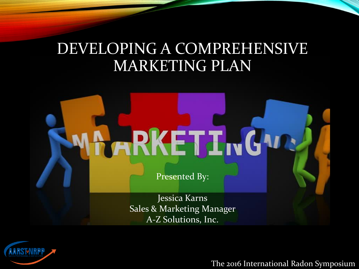### DEVELOPING A COMPREHENSIVE MARKETING PLAN



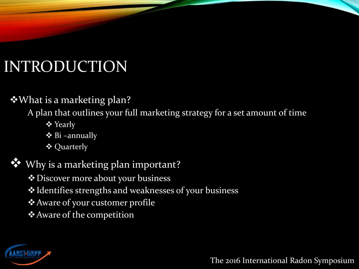### INTRODUCTION

#### What is a marketing plan?

A plan that outlines your full marketing strategy for a set amount of time

- **❖** Yearly
- $\triangleleft$  Bi –annually
- Quarterly

**<sup>◆</sup>** Why is a marketing plan important?

- **❖** Discover more about your business
- Identifies strengths and weaknesses of your business
- Aware of your customer profile
- Aware of the competition

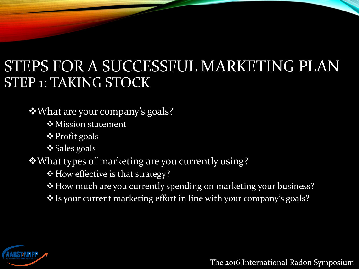#### STEPS FOR A SUCCESSFUL MARKETING PLAN STEP 1: TAKING STOCK

What are your company's goals?

**Mission statement** 

**❖ Profit goals** 

**❖ Sales goals** 

What types of marketing are you currently using?

\* How effective is that strategy?

\* How much are you currently spending on marketing your business?

Is your current marketing effort in line with your company's goals?

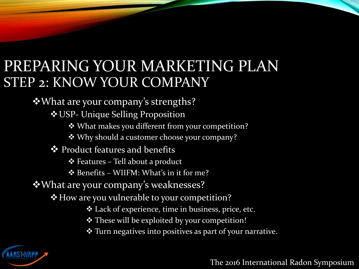#### PREPARING YOUR MARKETING PLAN STEP 2: KNOW YOUR COMPANY

What are your company's strengths?

USP- Unique Selling Proposition

What makes you different from your competition?

Why should a customer choose your company?

**❖** Product features and benefits

Features – Tell about a product

Benefits – WIIFM: What's in it for me?

What are your company's weaknesses?

How are you vulnerable to your competition?

Lack of experience, time in business, price, etc.

\* These will be exploited by your competition!

Turn negatives into positives as part of your narrative.

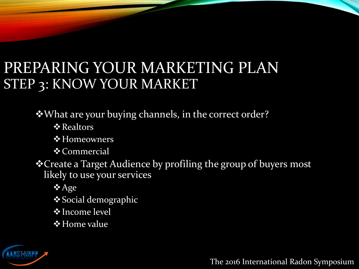### PREPARING YOUR MARKETING PLAN STEP 3: KNOW YOUR MARKET

What are your buying channels, in the correct order?

- **❖ Realtors**
- **❖ Homeowners**
- **❖** Commercial
- Create a Target Audience by profiling the group of buyers most likely to use your services
	- **☆** Age
	- **Social demographic**
	- **V**Income level
	- **❖ Home value**

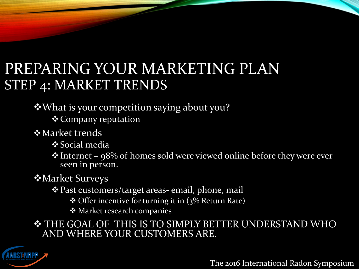#### PREPARING YOUR MARKETING PLAN STEP 4: MARKET TRENDS

What is your competition saying about you?

Company reputation

**†**Market trends

 $\frac{1}{2}$ **Social media** 

 $\cdot$  Internet – 98% of homes sold were viewed online before they were ever seen in person.

Market Surveys

Past customers/target areas- email, phone, mail

Offer incentive for turning it in (3% Return Rate)

Market research companies

 THE GOAL OF THIS IS TO SIMPLY BETTER UNDERSTAND WHO AND WHERE YOUR CUSTOMERS ARE.

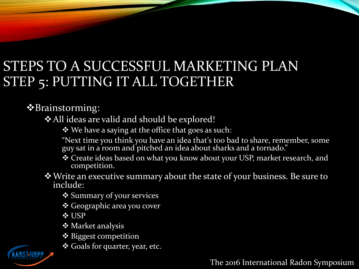#### STEPS TO A SUCCESSFUL MARKETING PLAN STEP 5: PUTTING IT ALL TOGETHER

Brainstorming:

All ideas are valid and should be explored!

We have a saying at the office that goes as such:

"Next time you think you have an idea that's too bad to share, remember, some guy sat in a room and pitched an idea about sharks and a tornado."

 Create ideas based on what you know about your USP, market research, and competition.

Write an executive summary about the state of your business. Be sure to include:

**❖ Summary of your services** 

Geographic area you cover

**☆ USP** 

- **❖ Market analysis**
- Biggest competition

Goals for quarter, year, etc.

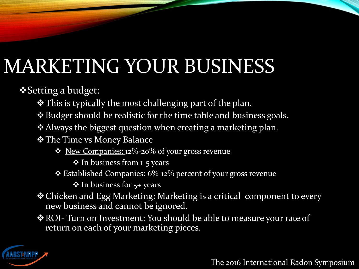# MARKETING YOUR BUSINESS

Setting a budget:

- \* This is typically the most challenging part of the plan.
- Budget should be realistic for the time table and business goals.
- Always the biggest question when creating a marketing plan.
- \* The Time vs Money Balance
	- New Companies: 12%-20% of your gross revenue
		- ❖ In business from 1-5 years
	- **<u>Established Companies:</u> 6%-12%** percent of your gross revenue

 $\triangleleft$  In business for 5+ years

- Chicken and Egg Marketing: Marketing is a critical component to every new business and cannot be ignored.
- \* ROI- Turn on Investment: You should be able to measure your rate of return on each of your marketing pieces.

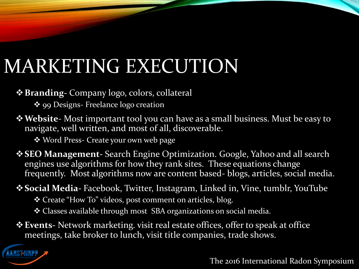### MARKETING EXECUTION

**Branding-** Company logo, colors, collateral

❖ 99 Designs- Freelance logo creation

**Website**- Most important tool you can have as a small business. Must be easy to navigate, well written, and most of all, discoverable.

Word Press- Create your own web page

**SEO Management-** Search Engine Optimization. Google, Yahoo and all search engines use algorithms for how they rank sites. These equations change frequently. Most algorithms now are content based- blogs, articles, social media.

**Social Media-** Facebook, Twitter, Instagram, Linked in, Vine, tumblr, YouTube

Create "How To" videos, post comment on articles, blog.

Classes available through most SBA organizations on social media.

**Events-** Network marketing. visit real estate offices, offer to speak at office meetings, take broker to lunch, visit title companies, trade shows.

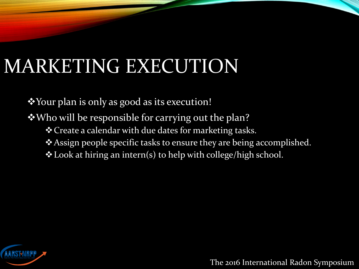### MARKETING EXECUTION

Your plan is only as good as its execution!

Who will be responsible for carrying out the plan?

- \* Create a calendar with due dates for marketing tasks.
- Assign people specific tasks to ensure they are being accomplished.
- Look at hiring an intern(s) to help with college/high school.

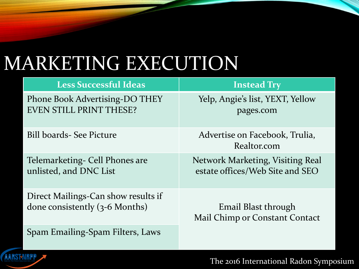### MARKETING EXECUTION

| <b>Less Successful Ideas</b>          | <b>Instead Try</b>                            |
|---------------------------------------|-----------------------------------------------|
| <b>Phone Book Advertising-DO THEY</b> | Yelp, Angie's list, YEXT, Yellow              |
| <b>EVEN STILL PRINT THESE?</b>        | pages.com                                     |
| Bill boards- See Picture              | Advertise on Facebook, Trulia,<br>Realtor.com |
| Telemarketing - Cell Phones are       | Network Marketing, Visiting Real              |
| unlisted, and DNC List                | estate offices/Web Site and SEO               |
| Direct Mailings-Can show results if   | Email Blast through                           |
| done consistently (3-6 Months)        | Mail Chimp or Constant Contact                |
| Spam Emailing-Spam Filters, Laws      |                                               |

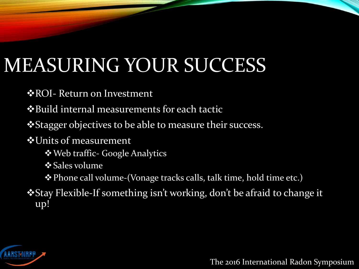# MEASURING YOUR SUCCESS

**\*ROI- Return on Investment** 

Build internal measurements for each tactic

**\*** Stagger objectives to be able to measure their success.

Units of measurement

Web traffic- Google Analytics

**❖ Sales volume** 

Phone call volume-(Vonage tracks calls, talk time, hold time etc.)

Stay Flexible-If something isn't working, don't be afraid to change it up!